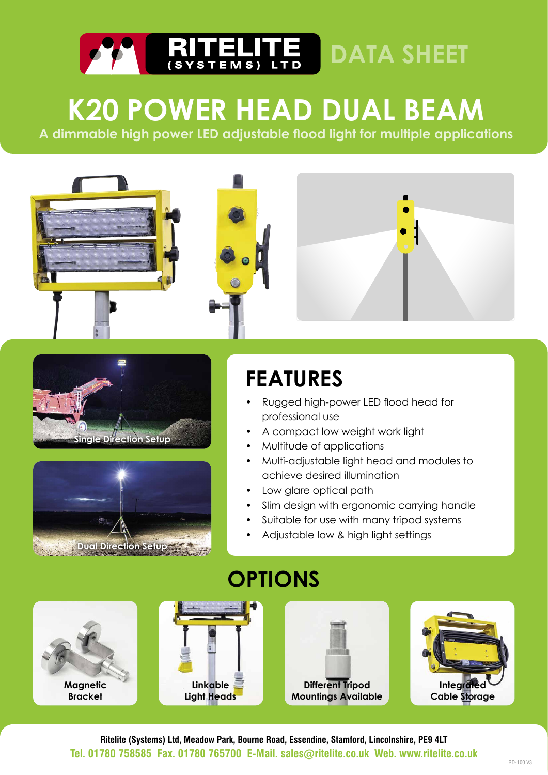

## **K20 POWER HEAD DUAL BEAM**

**A dimmable high power LED adjustable flood light for multiple applications**







## **FEATURES**

- Rugged high-power LED flood head for professional use
- A compact low weight work light
- Multitude of applications
- Multi-adjustable light head and modules to achieve desired illumination
- Low glare optical path
- Slim design with ergonomic carrying handle
- Suitable for use with many tripod systems
- Adjustable low & high light settings



**Ritelite (Systems) Ltd, Meadow Park, Bourne Road, Essendine, Stamford, Lincolnshire, PE9 4LT Tel. 01780 758585 Fax. 01780 765700 E-Mail. sales@ritelite.co.uk Web. www.ritelite.co.uk**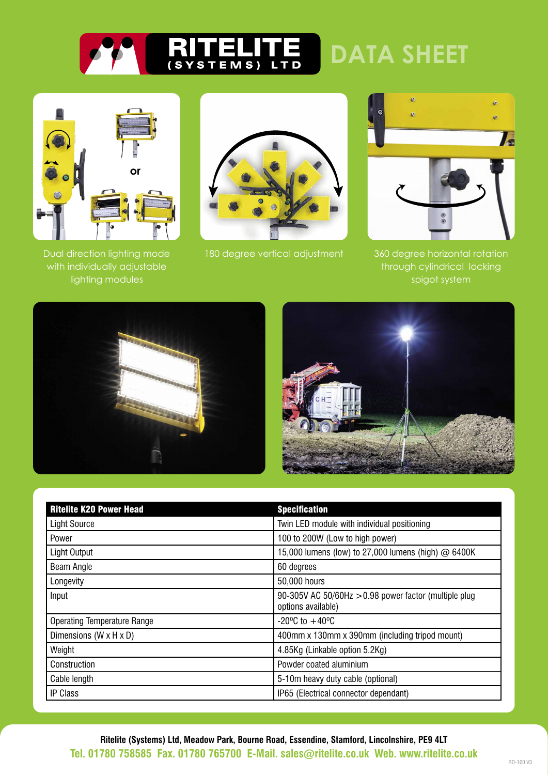



Dual direction lighting mode with individually adjustable lighting modules



180 degree vertical adjustment



360 degree horizontal rotation through cylindrical locking spigot system





| <b>Ritelite K20 Power Head</b>     | <b>Specification</b>                                                         |  |
|------------------------------------|------------------------------------------------------------------------------|--|
| <b>Light Source</b>                | Twin LED module with individual positioning                                  |  |
| Power                              | 100 to 200W (Low to high power)                                              |  |
| Light Output                       | 15,000 lumens (low) to 27,000 lumens (high) @ 6400K                          |  |
| Beam Angle                         | 60 degrees                                                                   |  |
| Longevity                          | 50,000 hours                                                                 |  |
| Input                              | 90-305V AC 50/60Hz $>0.98$ power factor (multiple plug<br>options available) |  |
| <b>Operating Temperature Range</b> | $-20^{\circ}$ C to $+40^{\circ}$ C                                           |  |
| Dimensions (W x H x D)             | 400mm x 130mm x 390mm (including tripod mount)                               |  |
| Weight                             | 4.85Kg (Linkable option 5.2Kg)                                               |  |
| Construction                       | Powder coated aluminium                                                      |  |
| Cable length                       | 5-10m heavy duty cable (optional)                                            |  |
| <b>IP Class</b>                    | IP65 (Electrical connector dependant)                                        |  |